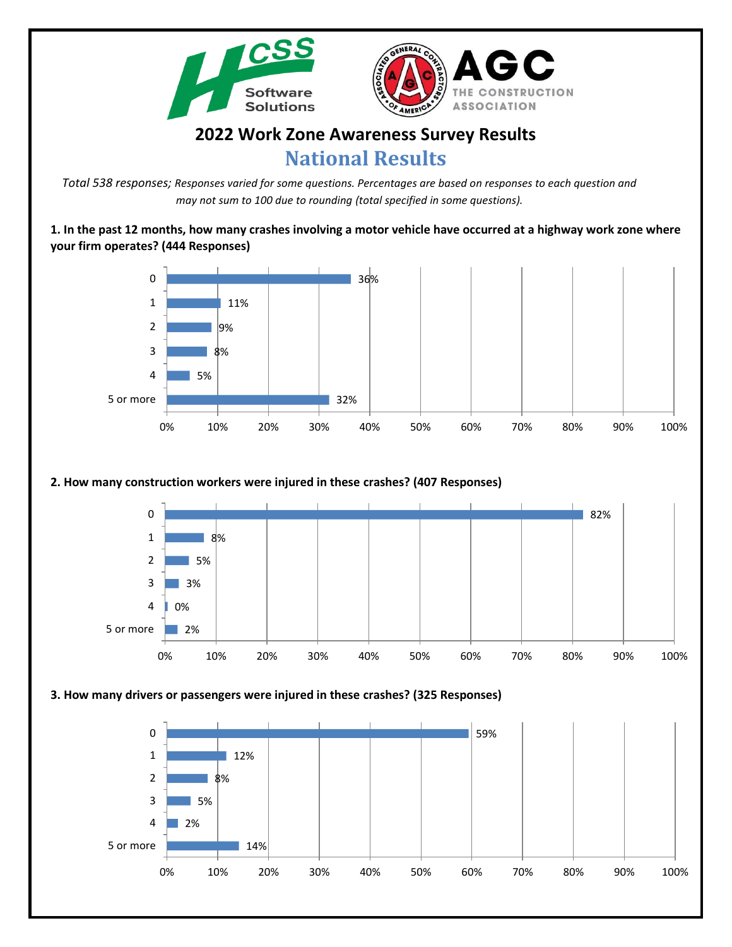



## **2022 Work Zone Awareness Survey Results National Results**

*Total 538 responses; Responses varied for some questions. Percentages are based on responses to each question and may not sum to 100 due to rounding (total specified in some questions).*

**1. In the past 12 months, how many crashes involving a motor vehicle have occurred at a highway work zone where your firm operates? (444 Responses)**



## **2. How many construction workers were injured in these crashes? (407 Responses)**

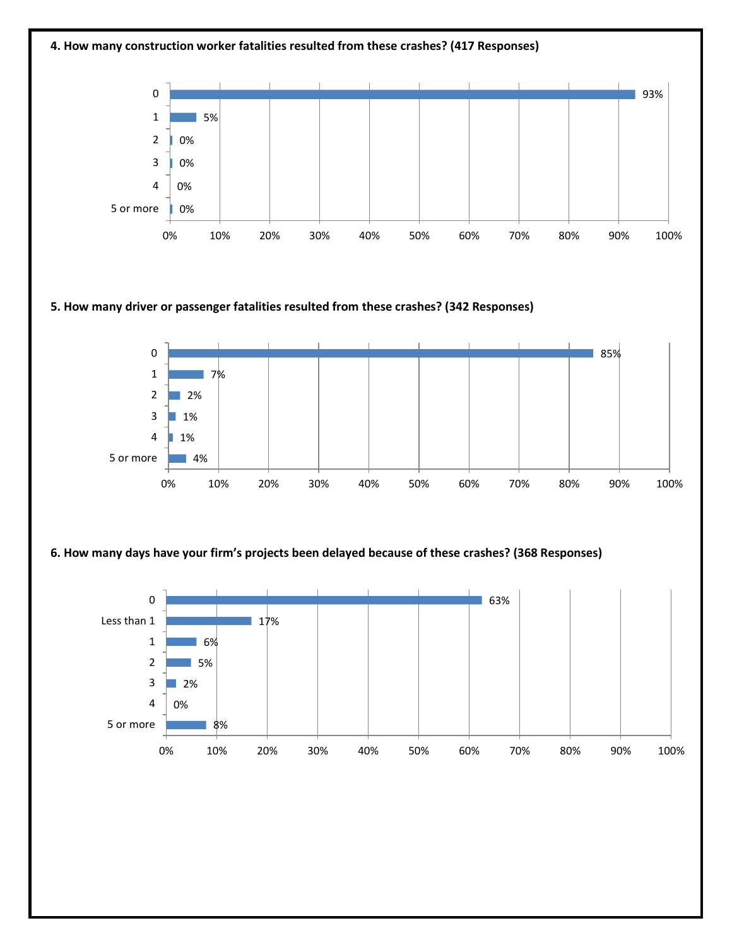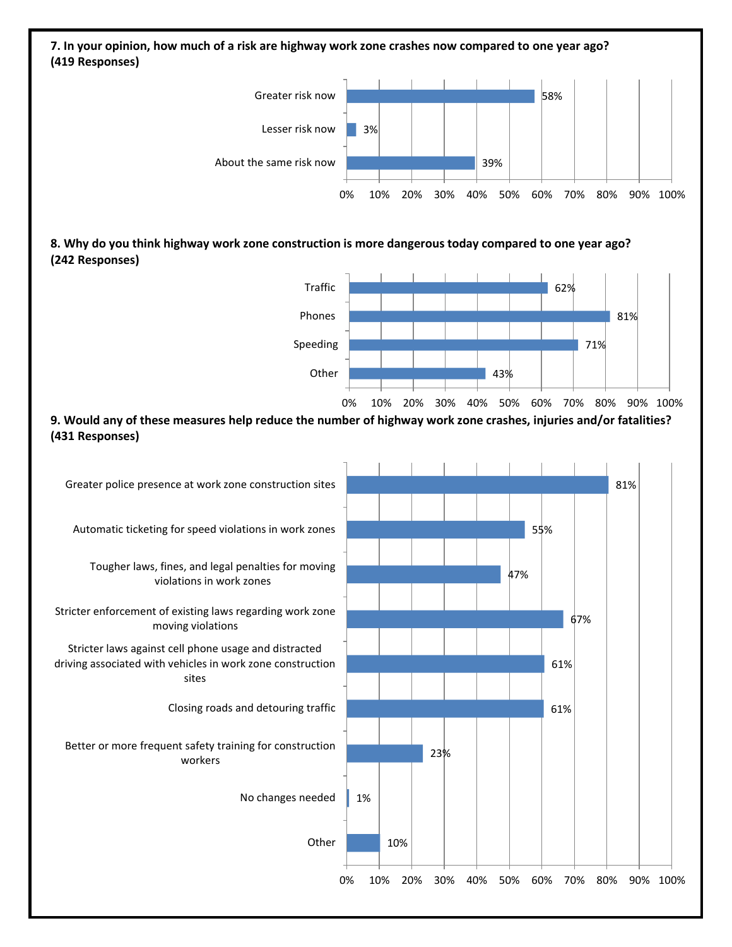